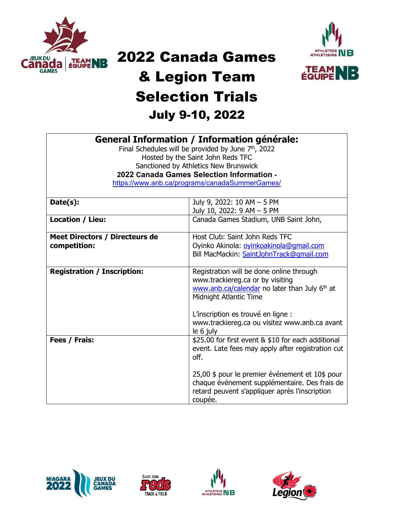

## 2022 Canada Games



## & Legion Team Selection Trials July 9-10, 2022

**General Information / Information générale:**

| oenerar mirormagon / mirormagon generale.<br>Final Schedules will be provided by June $7th$ , 2022 |                                                    |  |  |  |  |  |  |  |
|----------------------------------------------------------------------------------------------------|----------------------------------------------------|--|--|--|--|--|--|--|
|                                                                                                    |                                                    |  |  |  |  |  |  |  |
|                                                                                                    | Hosted by the Saint John Reds TFC                  |  |  |  |  |  |  |  |
| Sanctioned by Athletics New Brunswick                                                              |                                                    |  |  |  |  |  |  |  |
| 2022 Canada Games Selection Information -                                                          |                                                    |  |  |  |  |  |  |  |
|                                                                                                    | https://www.anb.ca/programs/canadaSummerGames/     |  |  |  |  |  |  |  |
|                                                                                                    |                                                    |  |  |  |  |  |  |  |
| Date(s):                                                                                           | July 9, 2022: 10 AM - 5 PM                         |  |  |  |  |  |  |  |
|                                                                                                    | July 10, 2022: 9 AM - 5 PM                         |  |  |  |  |  |  |  |
| Location / Lieu:                                                                                   | Canada Games Stadium, UNB Saint John,              |  |  |  |  |  |  |  |
|                                                                                                    |                                                    |  |  |  |  |  |  |  |
| <b>Meet Directors / Directeurs de</b>                                                              | Host Club: Saint John Reds TFC                     |  |  |  |  |  |  |  |
| competition:                                                                                       | Oyinko Akinola: ovinkoakinola@gmail.com            |  |  |  |  |  |  |  |
|                                                                                                    | Bill MacMackin: SaintJohnTrack@qmail.com           |  |  |  |  |  |  |  |
|                                                                                                    |                                                    |  |  |  |  |  |  |  |
| <b>Registration / Inscription:</b>                                                                 | Registration will be done online through           |  |  |  |  |  |  |  |
|                                                                                                    | www.trackiereg.ca or by visiting                   |  |  |  |  |  |  |  |
|                                                                                                    | www.anb.ca/calendar no later than July 6th at      |  |  |  |  |  |  |  |
|                                                                                                    | Midnight Atlantic Time                             |  |  |  |  |  |  |  |
|                                                                                                    |                                                    |  |  |  |  |  |  |  |
|                                                                                                    | L'inscription es trouvé en ligne :                 |  |  |  |  |  |  |  |
|                                                                                                    | www.trackiereg.ca ou visitez www.anb.ca avant      |  |  |  |  |  |  |  |
|                                                                                                    | le 6 july                                          |  |  |  |  |  |  |  |
| Fees / Frais:                                                                                      | \$25.00 for first event & \$10 for each additional |  |  |  |  |  |  |  |
|                                                                                                    | event. Late fees may apply after registration cut  |  |  |  |  |  |  |  |
|                                                                                                    | off.                                               |  |  |  |  |  |  |  |
|                                                                                                    |                                                    |  |  |  |  |  |  |  |
|                                                                                                    | 25,00 \$ pour le premier événement et 10\$ pour    |  |  |  |  |  |  |  |
|                                                                                                    | chaque événement supplémentaire. Des frais de      |  |  |  |  |  |  |  |
|                                                                                                    | retard peuvent s'appliquer après l'inscription     |  |  |  |  |  |  |  |
|                                                                                                    | coupée.                                            |  |  |  |  |  |  |  |
|                                                                                                    |                                                    |  |  |  |  |  |  |  |







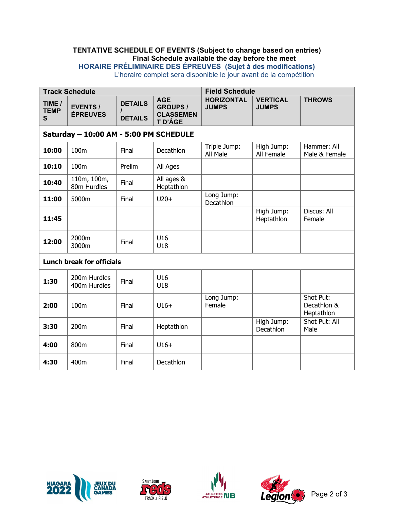## **TENTATIVE SCHEDULE OF EVENTS (Subject to change based on entries) Final Schedule available the day before the meet HORAIRE PRÉLIMINAIRE DES ÉPREUVES (Sujet à des modifications)**

L'horaire complet sera disponible le jour avant de la compétition

| <b>Track Schedule</b>                  |                                    |                                              | <b>Field Schedule</b>                                        |                                   |                                 |                                        |  |
|----------------------------------------|------------------------------------|----------------------------------------------|--------------------------------------------------------------|-----------------------------------|---------------------------------|----------------------------------------|--|
| TIME /<br><b>TEMP</b><br>$\mathbf{s}$  | <b>EVENTS /</b><br><b>ÉPREUVES</b> | <b>DETAILS</b><br>$\prime$<br><b>DÉTAILS</b> | <b>AGE</b><br><b>GROUPS /</b><br><b>CLASSEMEN</b><br>T D'ÂGE | <b>HORIZONTAL</b><br><b>JUMPS</b> | <b>VERTICAL</b><br><b>JUMPS</b> | <b>THROWS</b>                          |  |
| Saturday - 10:00 AM - 5:00 PM SCHEDULE |                                    |                                              |                                                              |                                   |                                 |                                        |  |
| 10:00                                  | 100m                               | Final                                        | Decathlon                                                    | Triple Jump:<br>All Male          | High Jump:<br>All Female        | Hammer: All<br>Male & Female           |  |
| 10:10                                  | 100m                               | Prelim                                       | All Ages                                                     |                                   |                                 |                                        |  |
| 10:40                                  | 110m, 100m,<br>80m Hurdles         | Final                                        | All ages &<br>Heptathlon                                     |                                   |                                 |                                        |  |
| 11:00                                  | 5000m                              | Final                                        | $U20+$                                                       | Long Jump:<br>Decathlon           |                                 |                                        |  |
| 11:45                                  |                                    |                                              |                                                              |                                   | High Jump:<br>Heptathlon        | Discus: All<br>Female                  |  |
| 12:00                                  | 2000m<br>3000m                     | Final                                        | U16<br>U18                                                   |                                   |                                 |                                        |  |
| <b>Lunch break for officials</b>       |                                    |                                              |                                                              |                                   |                                 |                                        |  |
| 1:30                                   | 200m Hurdles<br>400m Hurdles       | Final                                        | U16<br>U18                                                   |                                   |                                 |                                        |  |
| 2:00                                   | 100m                               | Final                                        | $U16+$                                                       | Long Jump:<br>Female              |                                 | Shot Put:<br>Decathlon &<br>Heptathlon |  |
| 3:30                                   | 200m                               | Final                                        | Heptathlon                                                   |                                   | High Jump:<br>Decathlon         | Shot Put: All<br>Male                  |  |
| 4:00                                   | 800m                               | Final                                        | $U16+$                                                       |                                   |                                 |                                        |  |
| 4:30                                   | 400m                               | Final                                        | Decathlon                                                    |                                   |                                 |                                        |  |